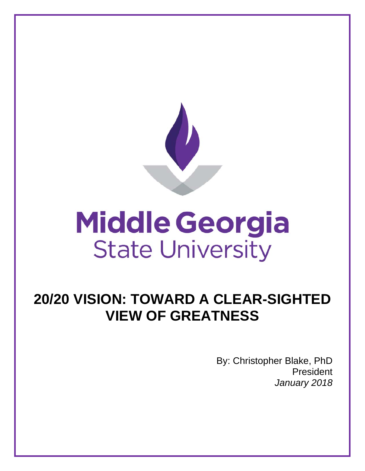

# **Middle Georgia State University**

# **20/20 VISION: TOWARD A CLEAR-SIGHTED VIEW OF GREATNESS**

By: Christopher Blake, PhD President *January 2018*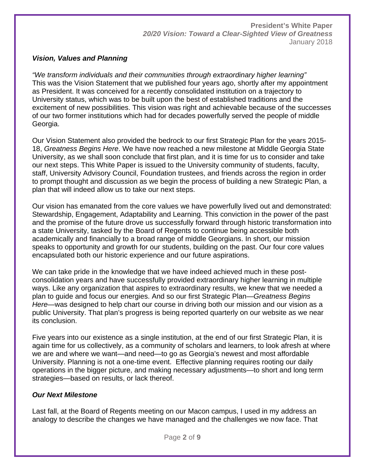#### *Vision, Values and Planning*

*"We transform individuals and their communities through extraordinary higher learning"* This was the Vision Statement that we published four years ago, shortly after my appointment as President. It was conceived for a recently consolidated institution on a trajectory to University status, which was to be built upon the best of established traditions and the excitement of new possibilities. This vision was right and achievable because of the successes of our two former institutions which had for decades powerfully served the people of middle Georgia.

Our Vision Statement also provided the bedrock to our first Strategic Plan for the years 2015- 18, *Greatness Begins Here*. We have now reached a new milestone at Middle Georgia State University, as we shall soon conclude that first plan, and it is time for us to consider and take our next steps. This White Paper is issued to the University community of students, faculty, staff, University Advisory Council, Foundation trustees, and friends across the region in order to prompt thought and discussion as we begin the process of building a new Strategic Plan, a plan that will indeed allow us to take our next steps.

Our vision has emanated from the core values we have powerfully lived out and demonstrated: Stewardship, Engagement, Adaptability and Learning. This conviction in the power of the past and the promise of the future drove us successfully forward through historic transformation into a state University, tasked by the Board of Regents to continue being accessible both academically and financially to a broad range of middle Georgians. In short, our mission speaks to opportunity and growth for our students, building on the past. Our four core values encapsulated both our historic experience and our future aspirations.

We can take pride in the knowledge that we have indeed achieved much in these postconsolidation years and have successfully provided extraordinary higher learning in multiple ways. Like any organization that aspires to extraordinary results, we knew that we needed a plan to guide and focus our energies. And so our first Strategic Plan—*Greatness Begins Here*—was designed to help chart our course in driving both our mission and our vision as a public University. That plan's progress is being reported quarterly on our website as we near its conclusion.

Five years into our existence as a single institution, at the end of our first Strategic Plan, it is again time for us collectively, as a community of scholars and learners, to look afresh at where we are and where we want—and need—to go as Georgia's newest and most affordable University. Planning is not a one-time event. Effective planning requires rooting our daily operations in the bigger picture, and making necessary adjustments—to short and long term strategies—based on results, or lack thereof.

#### *Our Next Milestone*

Last fall, at the Board of Regents meeting on our Macon campus, I used in my address an analogy to describe the changes we have managed and the challenges we now face. That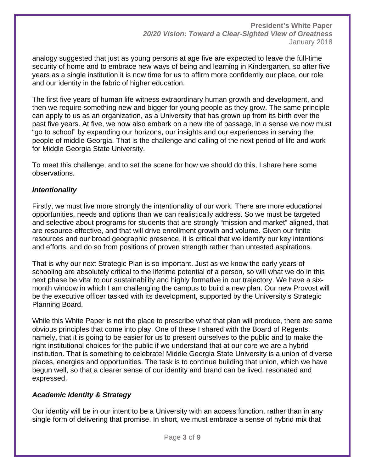analogy suggested that just as young persons at age five are expected to leave the full-time security of home and to embrace new ways of being and learning in Kindergarten, so after five years as a single institution it is now time for us to affirm more confidently our place, our role and our identity in the fabric of higher education.

The first five years of human life witness extraordinary human growth and development, and then we require something new and bigger for young people as they grow. The same principle can apply to us as an organization, as a University that has grown up from its birth over the past five years. At five, we now also embark on a new rite of passage, in a sense we now must "go to school" by expanding our horizons, our insights and our experiences in serving the people of middle Georgia. That is the challenge and calling of the next period of life and work for Middle Georgia State University.

To meet this challenge, and to set the scene for how we should do this, I share here some observations.

#### *Intentionality*

Firstly, we must live more strongly the intentionality of our work. There are more educational opportunities, needs and options than we can realistically address. So we must be targeted and selective about programs for students that are strongly "mission and market" aligned, that are resource-effective, and that will drive enrollment growth and volume. Given our finite resources and our broad geographic presence, it is critical that we identify our key intentions and efforts, and do so from positions of proven strength rather than untested aspirations.

That is why our next Strategic Plan is so important. Just as we know the early years of schooling are absolutely critical to the lifetime potential of a person, so will what we do in this next phase be vital to our sustainability and highly formative in our trajectory. We have a sixmonth window in which I am challenging the campus to build a new plan. Our new Provost will be the executive officer tasked with its development, supported by the University's Strategic Planning Board.

While this White Paper is not the place to prescribe what that plan will produce, there are some obvious principles that come into play. One of these I shared with the Board of Regents: namely, that it is going to be easier for us to present ourselves to the public and to make the right institutional choices for the public if we understand that at our core we are a hybrid institution. That is something to celebrate! Middle Georgia State University is a union of diverse places, energies and opportunities. The task is to continue building that union, which we have begun well, so that a clearer sense of our identity and brand can be lived, resonated and expressed.

#### *Academic Identity & Strategy*

Our identity will be in our intent to be a University with an access function, rather than in any single form of delivering that promise. In short, we must embrace a sense of hybrid mix that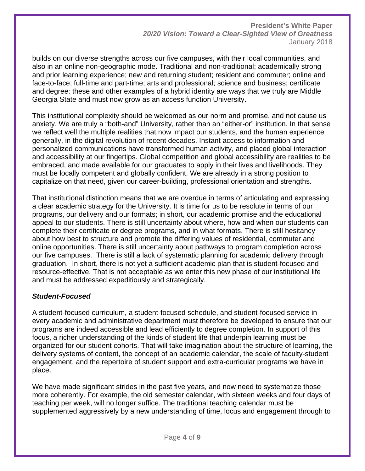builds on our diverse strengths across our five campuses, with their local communities, and also in an online non-geographic mode. Traditional and non-traditional; academically strong and prior learning experience; new and returning student; resident and commuter; online and face-to-face; full-time and part-time; arts and professional; science and business; certificate and degree: these and other examples of a hybrid identity are ways that we truly are Middle Georgia State and must now grow as an access function University.

This institutional complexity should be welcomed as our norm and promise, and not cause us anxiety. We are truly a "both-and" University, rather than an "either-or" institution. In that sense we reflect well the multiple realities that now impact our students, and the human experience generally, in the digital revolution of recent decades. Instant access to information and personalized communications have transformed human activity, and placed global interaction and accessibility at our fingertips. Global competition and global accessibility are realities to be embraced, and made available for our graduates to apply in their lives and livelihoods. They must be locally competent and globally confident. We are already in a strong position to capitalize on that need, given our career-building, professional orientation and strengths.

That institutional distinction means that we are overdue in terms of articulating and expressing a clear academic strategy for the University. It is time for us to be resolute in terms of our programs, our delivery and our formats; in short, our academic promise and the educational appeal to our students. There is still uncertainty about where, how and when our students can complete their certificate or degree programs, and in what formats. There is still hesitancy about how best to structure and promote the differing values of residential, commuter and online opportunities. There is still uncertainty about pathways to program completion across our five campuses. There is still a lack of systematic planning for academic delivery through graduation. In short, there is not yet a sufficient academic plan that is student-focused and resource-effective. That is not acceptable as we enter this new phase of our institutional life and must be addressed expeditiously and strategically.

#### *Student-Focused*

A student-focused curriculum, a student-focused schedule, and student-focused service in every academic and administrative department must therefore be developed to ensure that our programs are indeed accessible and lead efficiently to degree completion. In support of this focus, a richer understanding of the kinds of student life that underpin learning must be organized for our student cohorts. That will take imagination about the structure of learning, the delivery systems of content, the concept of an academic calendar, the scale of faculty-student engagement, and the repertoire of student support and extra-curricular programs we have in place.

We have made significant strides in the past five years, and now need to systematize those more coherently. For example, the old semester calendar, with sixteen weeks and four days of teaching per week, will no longer suffice. The traditional teaching calendar must be supplemented aggressively by a new understanding of time, locus and engagement through to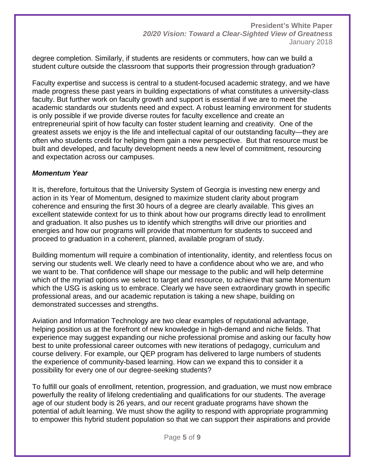degree completion. Similarly, if students are residents or commuters, how can we build a student culture outside the classroom that supports their progression through graduation?

Faculty expertise and success is central to a student-focused academic strategy, and we have made progress these past years in building expectations of what constitutes a university-class faculty. But further work on faculty growth and support is essential if we are to meet the academic standards our students need and expect. A robust learning environment for students is only possible if we provide diverse routes for faculty excellence and create an entrepreneurial spirit of how faculty can foster student learning and creativity. One of the greatest assets we enjoy is the life and intellectual capital of our outstanding faculty—they are often who students credit for helping them gain a new perspective. But that resource must be built and developed, and faculty development needs a new level of commitment, resourcing and expectation across our campuses.

#### *Momentum Year*

It is, therefore, fortuitous that the University System of Georgia is investing new energy and action in its Year of Momentum, designed to maximize student clarity about program coherence and ensuring the first 30 hours of a degree are clearly available. This gives an excellent statewide context for us to think about how our programs directly lead to enrollment and graduation. It also pushes us to identify which strengths will drive our priorities and energies and how our programs will provide that momentum for students to succeed and proceed to graduation in a coherent, planned, available program of study.

Building momentum will require a combination of intentionality, identity, and relentless focus on serving our students well. We clearly need to have a confidence about who we are, and who we want to be. That confidence will shape our message to the public and will help determine which of the myriad options we select to target and resource, to achieve that same Momentum which the USG is asking us to embrace. Clearly we have seen extraordinary growth in specific professional areas, and our academic reputation is taking a new shape, building on demonstrated successes and strengths.

Aviation and Information Technology are two clear examples of reputational advantage, helping position us at the forefront of new knowledge in high-demand and niche fields. That experience may suggest expanding our niche professional promise and asking our faculty how best to unite professional career outcomes with new iterations of pedagogy, curriculum and course delivery. For example, our QEP program has delivered to large numbers of students the experience of community-based learning. How can we expand this to consider it a possibility for every one of our degree-seeking students?

To fulfill our goals of enrollment, retention, progression, and graduation, we must now embrace powerfully the reality of lifelong credentialing and qualifications for our students. The average age of our student body is 26 years, and our recent graduate programs have shown the potential of adult learning. We must show the agility to respond with appropriate programming to empower this hybrid student population so that we can support their aspirations and provide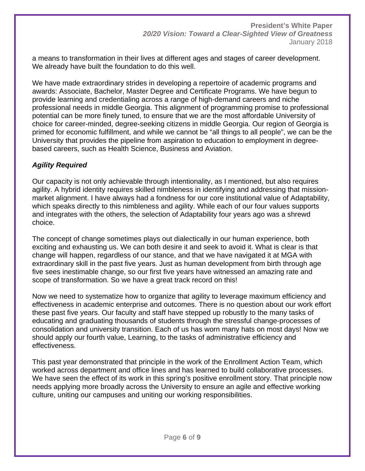a means to transformation in their lives at different ages and stages of career development. We already have built the foundation to do this well.

We have made extraordinary strides in developing a repertoire of academic programs and awards: Associate, Bachelor, Master Degree and Certificate Programs. We have begun to provide learning and credentialing across a range of high-demand careers and niche professional needs in middle Georgia. This alignment of programming promise to professional potential can be more finely tuned, to ensure that we are the most affordable University of choice for career-minded, degree-seeking citizens in middle Georgia. Our region of Georgia is primed for economic fulfillment, and while we cannot be "all things to all people", we can be the University that provides the pipeline from aspiration to education to employment in degreebased careers, such as Health Science, Business and Aviation.

# *Agility Required*

Our capacity is not only achievable through intentionality, as I mentioned, but also requires agility. A hybrid identity requires skilled nimbleness in identifying and addressing that missionmarket alignment. I have always had a fondness for our core institutional value of Adaptability, which speaks directly to this nimbleness and agility. While each of our four values supports and integrates with the others, the selection of Adaptability four years ago was a shrewd choice.

The concept of change sometimes plays out dialectically in our human experience, both exciting and exhausting us. We can both desire it and seek to avoid it. What is clear is that change will happen, regardless of our stance, and that we have navigated it at MGA with extraordinary skill in the past five years. Just as human development from birth through age five sees inestimable change, so our first five years have witnessed an amazing rate and scope of transformation. So we have a great track record on this!

Now we need to systematize how to organize that agility to leverage maximum efficiency and effectiveness in academic enterprise and outcomes. There is no question about our work effort these past five years. Our faculty and staff have stepped up robustly to the many tasks of educating and graduating thousands of students through the stressful change-processes of consolidation and university transition. Each of us has worn many hats on most days! Now we should apply our fourth value, Learning, to the tasks of administrative efficiency and effectiveness.

This past year demonstrated that principle in the work of the Enrollment Action Team, which worked across department and office lines and has learned to build collaborative processes. We have seen the effect of its work in this spring's positive enrollment story. That principle now needs applying more broadly across the University to ensure an agile and effective working culture, uniting our campuses and uniting our working responsibilities.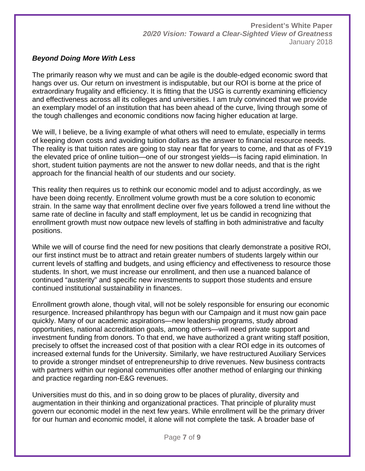# *Beyond Doing More With Less*

The primarily reason why we must and can be agile is the double-edged economic sword that hangs over us. Our return on investment is indisputable, but our ROI is borne at the price of extraordinary frugality and efficiency. It is fitting that the USG is currently examining efficiency and effectiveness across all its colleges and universities. I am truly convinced that we provide an exemplary model of an institution that has been ahead of the curve, living through some of the tough challenges and economic conditions now facing higher education at large.

We will, I believe, be a living example of what others will need to emulate, especially in terms of keeping down costs and avoiding tuition dollars as the answer to financial resource needs. The reality is that tuition rates are going to stay near flat for years to come, and that as of FY19 the elevated price of online tuition—one of our strongest yields—is facing rapid elimination. In short, student tuition payments are not the answer to new dollar needs, and that is the right approach for the financial health of our students and our society.

This reality then requires us to rethink our economic model and to adjust accordingly, as we have been doing recently. Enrollment volume growth must be a core solution to economic strain. In the same way that enrollment decline over five years followed a trend line without the same rate of decline in faculty and staff employment, let us be candid in recognizing that enrollment growth must now outpace new levels of staffing in both administrative and faculty positions.

While we will of course find the need for new positions that clearly demonstrate a positive ROI, our first instinct must be to attract and retain greater numbers of students largely within our current levels of staffing and budgets, and using efficiency and effectiveness to resource those students. In short, we must increase our enrollment, and then use a nuanced balance of continued "austerity" and specific new investments to support those students and ensure continued institutional sustainability in finances.

Enrollment growth alone, though vital, will not be solely responsible for ensuring our economic resurgence. Increased philanthropy has begun with our Campaign and it must now gain pace quickly. Many of our academic aspirations—new leadership programs, study abroad opportunities, national accreditation goals, among others—will need private support and investment funding from donors. To that end, we have authorized a grant writing staff position, precisely to offset the increased cost of that position with a clear ROI edge in its outcomes of increased external funds for the University. Similarly, we have restructured Auxiliary Services to provide a stronger mindset of entrepreneurship to drive revenues. New business contracts with partners within our regional communities offer another method of enlarging our thinking and practice regarding non-E&G revenues.

Universities must do this, and in so doing grow to be places of plurality, diversity and augmentation in their thinking and organizational practices. That principle of plurality must govern our economic model in the next few years. While enrollment will be the primary driver for our human and economic model, it alone will not complete the task. A broader base of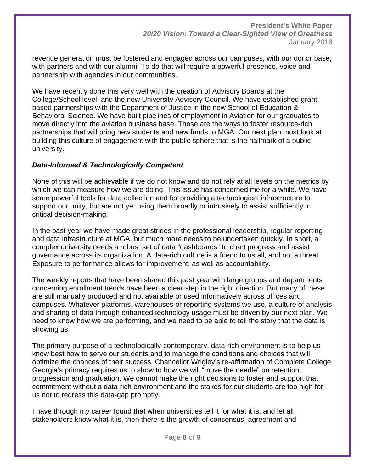revenue generation must be fostered and engaged across our campuses, with our donor base, with partners and with our alumni. To do that will require a powerful presence, voice and partnership with agencies in our communities.

We have recently done this very well with the creation of Advisory Boards at the College/School level, and the new University Advisory Council. We have established grantbased partnerships with the Department of Justice in the new School of Education & Behavioral Science. We have built pipelines of employment in Aviation for our graduates to move directly into the aviation business base. These are the ways to foster resource-rich partnerships that will bring new students and new funds to MGA. Our next plan must look at building this culture of engagement with the public sphere that is the hallmark of a public university.

# *Data-Informed & Technologically Competent*

None of this will be achievable if we do not know and do not rely at all levels on the metrics by which we can measure how we are doing. This issue has concerned me for a while. We have some powerful tools for data collection and for providing a technological infrastructure to support our unity, but are not yet using them broadly or intrusively to assist sufficiently in critical decision-making.

In the past year we have made great strides in the professional leadership, regular reporting and data infrastructure at MGA, but much more needs to be undertaken quickly. In short, a complex university needs a robust set of data "dashboards" to chart progress and assist governance across its organization. A data-rich culture is a friend to us all, and not a threat. Exposure to performance allows for improvement, as well as accountability.

The weekly reports that have been shared this past year with large groups and departments concerning enrollment trends have been a clear step in the right direction. But many of these are still manually produced and not available or used informatively across offices and campuses. Whatever platforms, warehouses or reporting systems we use, a culture of analysis and sharing of data through enhanced technology usage must be driven by our next plan. We need to know how we are performing, and we need to be able to tell the story that the data is showing us.

The primary purpose of a technologically-contemporary, data-rich environment is to help us know best how to serve our students and to manage the conditions and choices that will optimize the chances of their success. Chancellor Wrigley's re-affirmation of Complete College Georgia's primacy requires us to show to how we will "move the needle" on retention, progression and graduation. We cannot make the right decisions to foster and support that commitment without a data-rich environment and the stakes for our students are too high for us not to redress this data-gap promptly.

I have through my career found that when universities tell it for what it is, and let all stakeholders know what it is, then there is the growth of consensus, agreement and